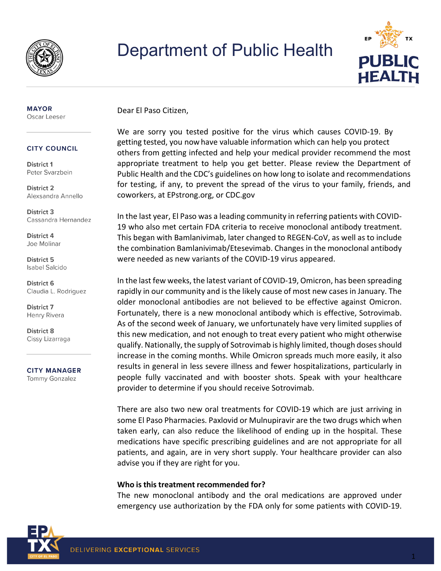

## Department of Public Health



#### **MAYOR** Oscar Leeser

#### **CITY COUNCIL**

District 1 Peter Svarzbein

**District 2** Alexsandra Annello

District 3 Cassandra Hernandez

**District 4** Joe Molinar

**District 5 Isabel Salcido** 

**District 6** Claudia L. Rodriguez

**District 7** Henry Rivera

**District 8** Cissy Lizarraga

**CITY MANAGER Tommy Gonzalez** 

Dear El Paso Citizen,

We are sorry you tested positive for the virus which causes COVID-19. By getting tested, you now have valuable information which can help you protect others from getting infected and help your medical provider recommend the most appropriate treatment to help you get better. Please review the Department of Public Health and the CDC's guidelines on how long to isolate and recommendations for testing, if any, to prevent the spread of the virus to your family, friends, and coworkers, at EPstrong.org, or CDC.gov

In the last year, El Paso was a leading community in referring patients with COVID-19 who also met certain FDA criteria to receive monoclonal antibody treatment. This began with Bamlanivimab, later changed to REGEN-CoV, as well as to include the combination Bamlanivimab/Etesevimab. Changes in the monoclonal antibody were needed as new variants of the COVID-19 virus appeared.

In the last few weeks, the latest variant of COVID-19, Omicron, has been spreading rapidly in our community and is the likely cause of most new cases in January. The older monoclonal antibodies are not believed to be effective against Omicron. Fortunately, there is a new monoclonal antibody which is effective, Sotrovimab. As of the second week of January, we unfortunately have very limited supplies of this new medication, and not enough to treat every patient who might otherwise qualify. Nationally, the supply of Sotrovimab is highly limited, though doses should increase in the coming months. While Omicron spreads much more easily, it also results in general in less severe illness and fewer hospitalizations, particularly in people fully vaccinated and with booster shots. Speak with your healthcare provider to determine if you should receive Sotrovimab.

There are also two new oral treatments for COVID-19 which are just arriving in some El Paso Pharmacies. Paxlovid or Mulnupiravir are the two drugs which when taken early, can also reduce the likelihood of ending up in the hospital. These medications have specific prescribing guidelines and are not appropriate for all patients, and again, are in very short supply. Your healthcare provider can also advise you if they are right for you.

#### **Who is this treatment recommended for?**

The new monoclonal antibody and the oral medications are approved under emergency use authorization by the FDA only for some patients with COVID-19.

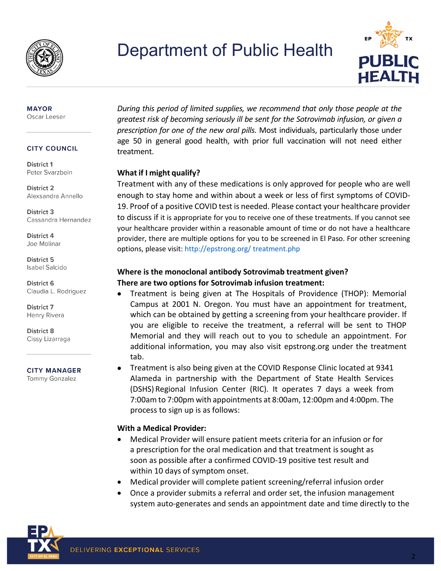

## Department of Public Health



#### **MAYOR** Oscar Leeser

#### **CITY COUNCIL**

District 1 Peter Svarzbein

**District 2** Alexsandra Annello

District 3 Cassandra Hernandez

**District 4** Joe Molinar

**District 5 Isabel Salcido** 

**District 6** Claudia L. Rodriguez

**District 7** Henry Rivera

**District 8** Cissy Lizarraga

**CITY MANAGER Tommy Gonzalez** 

### *During this period of limited supplies, we recommend that only those people at the greatest risk of becoming seriously ill be sent for the Sotrovimab infusion, or given a prescription for one of the new oral pills.* Most individuals, particularly those under age 50 in general good health, with prior full vaccination will not need either treatment.

#### **What if I might qualify?**

Treatment with any of these medications is only approved for people who are well enough to stay home and within about a week or less of first symptoms of COVID-19. Proof of a positive COVID test is needed. Please contact your healthcare provider to discuss if it is appropriate for you to receive one of these treatments. If you cannot see your healthcare provider within a reasonable amount of time or do not have a healthcare provider, there are multiple options for you to be screened in El Paso. For other screening options, please visit[: http://epstrong.org/](http://epstrong.org/) treatment.php

### **Where is the monoclonal antibody Sotrovimab treatment given? There are two options for Sotrovimab infusion treatment:**

- Treatment is being given at The Hospitals of Providence (THOP): Memorial Campus at 2001 N. Oregon. You must have an appointment for treatment, which can be obtained by getting a screening from your healthcare provider. If you are eligible to receive the treatment, a referral will be sent to THOP Memorial and they will reach out to you to schedule an appointment. For additional information, you may also visit epstrong.org under the treatment tab.
- Treatment is also being given at the COVID Response Clinic located at 9341 Alameda in partnership with the Department of State Health Services (DSHS) Regional Infusion Center (RIC). It operates 7 days a week from 7:00am to 7:00pm with appointments at 8:00am, 12:00pm and 4:00pm. The process to sign up is as follows:

#### **With a Medical Provider:**

- Medical Provider will ensure patient meets criteria for an infusion or for a prescription for the oral medication and that treatment is sought as soon as possible after a confirmed COVID-19 positive test result and within 10 days of symptom onset.
- Medical provider will complete patient screening/referral infusion order
- Once a provider submits a referral and order set, the infusion management system auto-generates and sends an appointment date and time directly to the